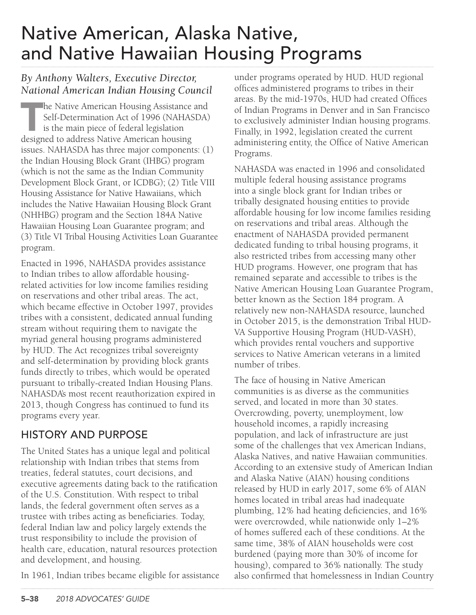# Native American, Alaska Native, and Native Hawaiian Housing Programs

#### *By Anthony Walters, Executive Director, National American Indian Housing Council*

The Native American Housing Assistance and Self-Determination Act of 1996 (NAHASDA) is the main piece of federal legislation designed to address Native American housing issues. NAHASDA has three major components: (1) the Indian Housing Block Grant (IHBG) program (which is not the same as the Indian Community Development Block Grant, or ICDBG); (2) Title VIII Housing Assistance for Native Hawaiians, which includes the Native Hawaiian Housing Block Grant (NHHBG) program and the Section 184A Native Hawaiian Housing Loan Guarantee program; and (3) Title VI Tribal Housing Activities Loan Guarantee program.

Enacted in 1996, NAHASDA provides assistance to Indian tribes to allow affordable housingrelated activities for low income families residing on reservations and other tribal areas. The act, which became effective in October 1997, provides tribes with a consistent, dedicated annual funding stream without requiring them to navigate the myriad general housing programs administered by HUD. The Act recognizes tribal sovereignty and self-determination by providing block grants funds directly to tribes, which would be operated pursuant to tribally-created Indian Housing Plans. NAHASDA's most recent reauthorization expired in 2013, though Congress has continued to fund its programs every year.

# HISTORY AND PURPOSE

The United States has a unique legal and political relationship with Indian tribes that stems from treaties, federal statutes, court decisions, and executive agreements dating back to the ratification of the U.S. Constitution. With respect to tribal lands, the federal government often serves as a trustee with tribes acting as beneficiaries. Today, federal Indian law and policy largely extends the trust responsibility to include the provision of health care, education, natural resources protection and development, and housing.

In 1961, Indian tribes became eligible for assistance

under programs operated by HUD. HUD regional offices administered programs to tribes in their areas. By the mid-1970s, HUD had created Offices of Indian Programs in Denver and in San Francisco to exclusively administer Indian housing programs. Finally, in 1992, legislation created the current administering entity, the Office of Native American Programs.

NAHASDA was enacted in 1996 and consolidated multiple federal housing assistance programs into a single block grant for Indian tribes or tribally designated housing entities to provide affordable housing for low income families residing on reservations and tribal areas. Although the enactment of NAHASDA provided permanent dedicated funding to tribal housing programs, it also restricted tribes from accessing many other HUD programs. However, one program that has remained separate and accessible to tribes is the Native American Housing Loan Guarantee Program, better known as the Section 184 program. A relatively new non-NAHASDA resource, launched in October 2015, is the demonstration Tribal HUD-VA Supportive Housing Program (HUD-VASH), which provides rental vouchers and supportive services to Native American veterans in a limited number of tribes.

The face of housing in Native American communities is as diverse as the communities served, and located in more than 30 states. Overcrowding, poverty, unemployment, low household incomes, a rapidly increasing population, and lack of infrastructure are just some of the challenges that vex American Indians, Alaska Natives, and native Hawaiian communities. According to an extensive study of American Indian and Alaska Native (AIAN) housing conditions released by HUD in early 2017, some 6% of AIAN homes located in tribal areas had inadequate plumbing, 12% had heating deficiencies, and 16% were overcrowded, while nationwide only 1–2% of homes suffered each of these conditions. At the same time, 38% of AIAN households were cost burdened (paying more than 30% of income for housing), compared to 36% nationally. The study also confirmed that homelessness in Indian Country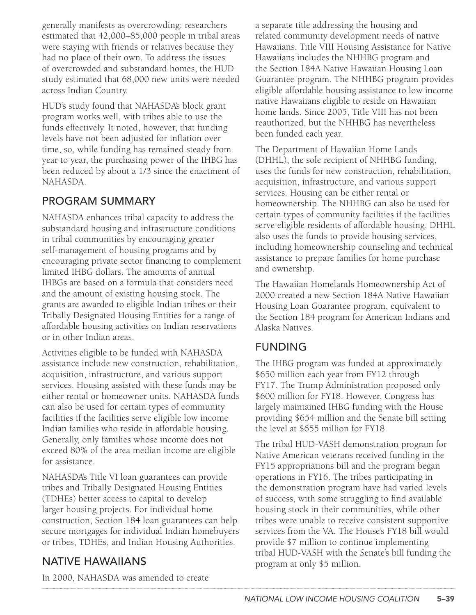generally manifests as overcrowding: researchers estimated that 42,000–85,000 people in tribal areas were staying with friends or relatives because they had no place of their own. To address the issues of overcrowded and substandard homes, the HUD study estimated that 68,000 new units were needed across Indian Country.

HUD's study found that NAHASDA's block grant program works well, with tribes able to use the funds effectively. It noted, however, that funding levels have not been adjusted for inflation over time, so, while funding has remained steady from year to year, the purchasing power of the IHBG has been reduced by about a 1/3 since the enactment of NAHASDA.

# PROGRAM SUMMARY

NAHASDA enhances tribal capacity to address the substandard housing and infrastructure conditions in tribal communities by encouraging greater self-management of housing programs and by encouraging private sector financing to complement limited IHBG dollars. The amounts of annual IHBGs are based on a formula that considers need and the amount of existing housing stock. The grants are awarded to eligible Indian tribes or their Tribally Designated Housing Entities for a range of affordable housing activities on Indian reservations or in other Indian areas.

Activities eligible to be funded with NAHASDA assistance include new construction, rehabilitation, acquisition, infrastructure, and various support services. Housing assisted with these funds may be either rental or homeowner units. NAHASDA funds can also be used for certain types of community facilities if the facilities serve eligible low income Indian families who reside in affordable housing. Generally, only families whose income does not exceed 80% of the area median income are eligible for assistance.

NAHASDA's Title VI loan guarantees can provide tribes and Tribally Designated Housing Entities (TDHEs) better access to capital to develop larger housing projects. For individual home construction, Section 184 loan guarantees can help secure mortgages for individual Indian homebuyers or tribes, TDHEs, and Indian Housing Authorities.

# NATIVE HAWAIIANS

In 2000, NAHASDA was amended to create

a separate title addressing the housing and related community development needs of native Hawaiians. Title VIII Housing Assistance for Native Hawaiians includes the NHHBG program and the Section 184A Native Hawaiian Housing Loan Guarantee program. The NHHBG program provides eligible affordable housing assistance to low income native Hawaiians eligible to reside on Hawaiian home lands. Since 2005, Title VIII has not been reauthorized, but the NHHBG has nevertheless been funded each year.

The Department of Hawaiian Home Lands (DHHL), the sole recipient of NHHBG funding, uses the funds for new construction, rehabilitation, acquisition, infrastructure, and various support services. Housing can be either rental or homeownership. The NHHBG can also be used for certain types of community facilities if the facilities serve eligible residents of affordable housing. DHHL also uses the funds to provide housing services, including homeownership counseling and technical assistance to prepare families for home purchase and ownership.

The Hawaiian Homelands Homeownership Act of 2000 created a new Section 184A Native Hawaiian Housing Loan Guarantee program, equivalent to the Section 184 program for American Indians and Alaska Natives.

#### FUNDING

The IHBG program was funded at approximately \$650 million each year from FY12 through FY17. The Trump Administration proposed only \$600 million for FY18. However, Congress has largely maintained IHBG funding with the House providing \$654 million and the Senate bill setting the level at \$655 million for FY18.

The tribal HUD-VASH demonstration program for Native American veterans received funding in the FY15 appropriations bill and the program began operations in FY16. The tribes participating in the demonstration program have had varied levels of success, with some struggling to find available housing stock in their communities, while other tribes were unable to receive consistent supportive services from the VA. The House's FY18 bill would provide \$7 million to continue implementing tribal HUD-VASH with the Senate's bill funding the program at only \$5 million.